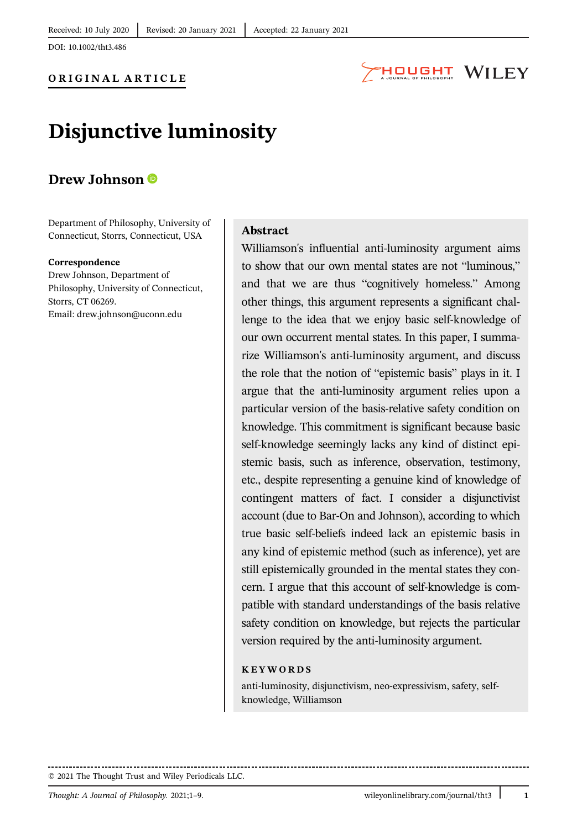DOI: 10.1002/tht3.486



## Disjunctive luminosity

### Drew Johnson <sup>®</sup>

Department of Philosophy, University of Connecticut, Storrs, Connecticut, USA

#### Correspondence

Drew Johnson, Department of Philosophy, University of Connecticut, Storrs, CT 06269. Email: drew.johnson@uconn.edu

#### Abstract

Williamson's influential anti-luminosity argument aims to show that our own mental states are not "luminous," and that we are thus "cognitively homeless." Among other things, this argument represents a significant challenge to the idea that we enjoy basic self-knowledge of our own occurrent mental states. In this paper, I summarize Williamson's anti-luminosity argument, and discuss the role that the notion of "epistemic basis" plays in it. I argue that the anti-luminosity argument relies upon a particular version of the basis-relative safety condition on knowledge. This commitment is significant because basic self-knowledge seemingly lacks any kind of distinct epistemic basis, such as inference, observation, testimony, etc., despite representing a genuine kind of knowledge of contingent matters of fact. I consider a disjunctivist account (due to Bar-On and Johnson), according to which true basic self-beliefs indeed lack an epistemic basis in any kind of epistemic method (such as inference), yet are still epistemically grounded in the mental states they concern. I argue that this account of self-knowledge is compatible with standard understandings of the basis relative safety condition on knowledge, but rejects the particular version required by the anti-luminosity argument.

#### KEYWORDS

anti-luminosity, disjunctivism, neo-expressivism, safety, selfknowledge, Williamson

© 2021 The Thought Trust and Wiley Periodicals LLC.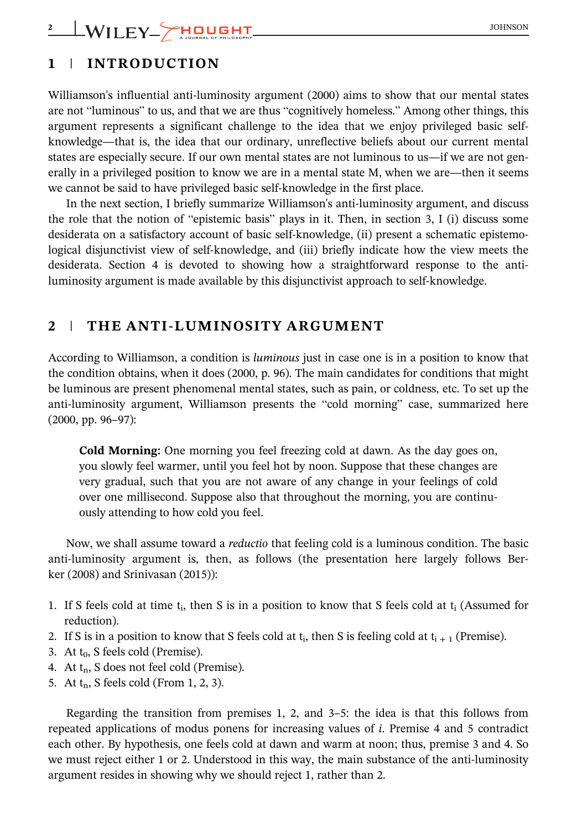## 1 | INTRODUCTION

Williamson's influential anti-luminosity argument (2000) aims to show that our mental states are not "luminous" to us, and that we are thus "cognitively homeless." Among other things, this argument represents a significant challenge to the idea that we enjoy privileged basic selfknowledge—that is, the idea that our ordinary, unreflective beliefs about our current mental states are especially secure. If our own mental states are not luminous to us—if we are not generally in a privileged position to know we are in a mental state M, when we are—then it seems we cannot be said to have privileged basic self-knowledge in the first place.

In the next section, I briefly summarize Williamson's anti-luminosity argument, and discuss the role that the notion of "epistemic basis" plays in it. Then, in section 3, I (i) discuss some desiderata on a satisfactory account of basic self-knowledge, (ii) present a schematic epistemological disjunctivist view of self-knowledge, and (iii) briefly indicate how the view meets the desiderata. Section 4 is devoted to showing how a straightforward response to the antiluminosity argument is made available by this disjunctivist approach to self-knowledge.

## 2 | THE ANTI-LUMINOSITY ARGUMENT

According to Williamson, a condition is luminous just in case one is in a position to know that the condition obtains, when it does (2000, p. 96). The main candidates for conditions that might be luminous are present phenomenal mental states, such as pain, or coldness, etc. To set up the anti-luminosity argument, Williamson presents the "cold morning" case, summarized here (2000, pp. 96–97):

Cold Morning: One morning you feel freezing cold at dawn. As the day goes on, you slowly feel warmer, until you feel hot by noon. Suppose that these changes are very gradual, such that you are not aware of any change in your feelings of cold over one millisecond. Suppose also that throughout the morning, you are continuously attending to how cold you feel.

Now, we shall assume toward a reductio that feeling cold is a luminous condition. The basic anti-luminosity argument is, then, as follows (the presentation here largely follows Berker (2008) and Srinivasan (2015)):

- 1. If S feels cold at time  $t_i$ , then S is in a position to know that S feels cold at  $t_i$  (Assumed for reduction).
- 2. If S is in a position to know that S feels cold at  $t_i$ , then S is feeling cold at  $t_{i+1}$  (Premise).
- 3. At  $t_0$ , S feels cold (Premise).
- 4. At  $t_n$ , S does not feel cold (Premise).
- 5. At  $t_n$ , S feels cold (From 1, 2, 3).

Regarding the transition from premises 1, 2, and 3–5: the idea is that this follows from repeated applications of modus ponens for increasing values of i. Premise 4 and 5 contradict each other. By hypothesis, one feels cold at dawn and warm at noon; thus, premise 3 and 4. So we must reject either 1 or 2. Understood in this way, the main substance of the anti-luminosity argument resides in showing why we should reject 1, rather than 2.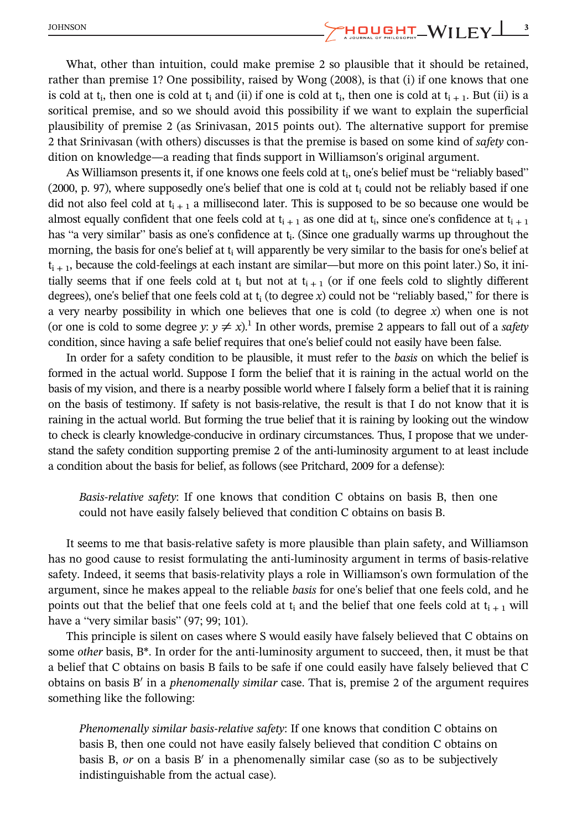What, other than intuition, could make premise 2 so plausible that it should be retained, rather than premise 1? One possibility, raised by Wong (2008), is that (i) if one knows that one is cold at t<sub>i</sub>, then one is cold at t<sub>i</sub> and (ii) if one is cold at t<sub>i</sub>, then one is cold at t<sub>i+1</sub>. But (ii) is a soritical premise, and so we should avoid this possibility if we want to explain the superficial plausibility of premise 2 (as Srinivasan, 2015 points out). The alternative support for premise 2 that Srinivasan (with others) discusses is that the premise is based on some kind of safety condition on knowledge—a reading that finds support in Williamson's original argument.

As Williamson presents it, if one knows one feels cold at  $t_i$ , one's belief must be "reliably based"  $(2000, p. 97)$ , where supposedly one's belief that one is cold at  $t_i$  could not be reliably based if one did not also feel cold at  $t_{i+1}$  a millisecond later. This is supposed to be so because one would be almost equally confident that one feels cold at  $t_{i+1}$  as one did at  $t_i$ , since one's confidence at  $t_{i+1}$ has "a very similar" basis as one's confidence at  $t_i$ . (Since one gradually warms up throughout the morning, the basis for one's belief at  $t_i$  will apparently be very similar to the basis for one's belief at  $t_{i+1}$ , because the cold-feelings at each instant are similar—but more on this point later.) So, it initially seems that if one feels cold at  $t_i$  but not at  $t_{i+1}$  (or if one feels cold to slightly different degrees), one's belief that one feels cold at  $t_i$  (to degree x) could not be "reliably based," for there is a very nearby possibility in which one believes that one is cold (to degree  $x$ ) when one is not (or one is cold to some degree y:  $y \neq x$ ).<sup>1</sup> In other words, premise 2 appears to fall out of a safety condition, since having a safe belief requires that one's belief could not easily have been false.

In order for a safety condition to be plausible, it must refer to the basis on which the belief is formed in the actual world. Suppose I form the belief that it is raining in the actual world on the basis of my vision, and there is a nearby possible world where I falsely form a belief that it is raining on the basis of testimony. If safety is not basis-relative, the result is that I do not know that it is raining in the actual world. But forming the true belief that it is raining by looking out the window to check is clearly knowledge-conducive in ordinary circumstances. Thus, I propose that we understand the safety condition supporting premise 2 of the anti-luminosity argument to at least include a condition about the basis for belief, as follows (see Pritchard, 2009 for a defense):

Basis-relative safety: If one knows that condition C obtains on basis B, then one could not have easily falsely believed that condition C obtains on basis B.

It seems to me that basis-relative safety is more plausible than plain safety, and Williamson has no good cause to resist formulating the anti-luminosity argument in terms of basis-relative safety. Indeed, it seems that basis-relativity plays a role in Williamson's own formulation of the argument, since he makes appeal to the reliable basis for one's belief that one feels cold, and he points out that the belief that one feels cold at  $t_i$  and the belief that one feels cold at  $t_{i+1}$  will have a "very similar basis" (97; 99; 101).

This principle is silent on cases where S would easily have falsely believed that C obtains on some *other* basis, B<sup>\*</sup>. In order for the anti-luminosity argument to succeed, then, it must be that a belief that C obtains on basis B fails to be safe if one could easily have falsely believed that C obtains on basis B' in a *phenomenally similar* case. That is, premise 2 of the argument requires something like the following:

Phenomenally similar basis-relative safety: If one knows that condition C obtains on basis B, then one could not have easily falsely believed that condition C obtains on basis B,  $or$  on a basis B' in a phenomenally similar case (so as to be subjectively indistinguishable from the actual case).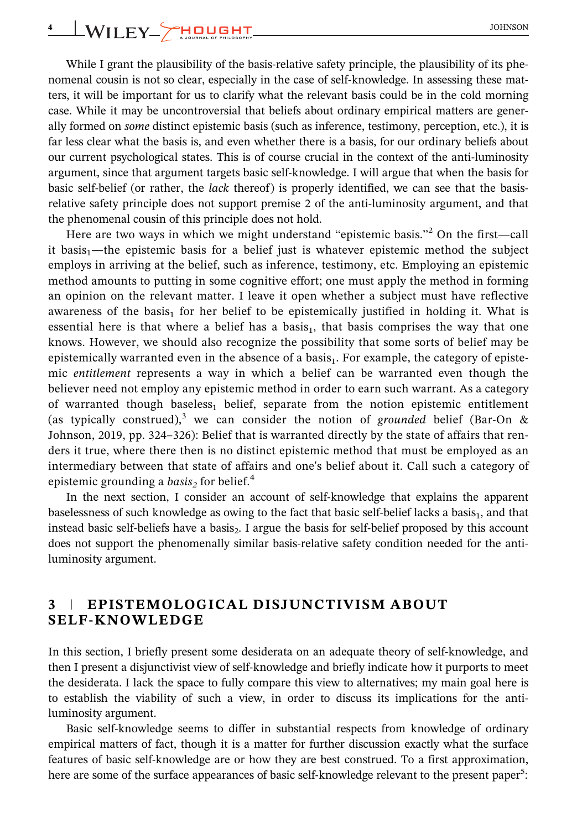## 4 WILEY HOUGHT SOHNSON

While I grant the plausibility of the basis-relative safety principle, the plausibility of its phenomenal cousin is not so clear, especially in the case of self-knowledge. In assessing these matters, it will be important for us to clarify what the relevant basis could be in the cold morning case. While it may be uncontroversial that beliefs about ordinary empirical matters are generally formed on some distinct epistemic basis (such as inference, testimony, perception, etc.), it is far less clear what the basis is, and even whether there is a basis, for our ordinary beliefs about our current psychological states. This is of course crucial in the context of the anti-luminosity argument, since that argument targets basic self-knowledge. I will argue that when the basis for basic self-belief (or rather, the *lack* thereof) is properly identified, we can see that the basisrelative safety principle does not support premise 2 of the anti-luminosity argument, and that the phenomenal cousin of this principle does not hold.

Here are two ways in which we might understand "epistemic basis."<sup>2</sup> On the first—call it basis<sub>1</sub>—the epistemic basis for a belief just is whatever epistemic method the subject employs in arriving at the belief, such as inference, testimony, etc. Employing an epistemic method amounts to putting in some cognitive effort; one must apply the method in forming an opinion on the relevant matter. I leave it open whether a subject must have reflective awareness of the basis<sub>1</sub> for her belief to be epistemically justified in holding it. What is essential here is that where a belief has a basis<sub>1</sub>, that basis comprises the way that one knows. However, we should also recognize the possibility that some sorts of belief may be epistemically warranted even in the absence of a basis $_1$ . For example, the category of epistemic entitlement represents a way in which a belief can be warranted even though the believer need not employ any epistemic method in order to earn such warrant. As a category of warranted though baseless $_1$  belief, separate from the notion epistemic entitlement (as typically construed),<sup>3</sup> we can consider the notion of grounded belief (Bar-On  $\&$ Johnson, 2019, pp. 324–326): Belief that is warranted directly by the state of affairs that renders it true, where there then is no distinct epistemic method that must be employed as an intermediary between that state of affairs and one's belief about it. Call such a category of epistemic grounding a basis<sub>2</sub> for belief.<sup>4</sup>

In the next section, I consider an account of self-knowledge that explains the apparent baselessness of such knowledge as owing to the fact that basic self-belief lacks a basis $_{1}$ , and that instead basic self-beliefs have a basis $_2$ . I argue the basis for self-belief proposed by this account does not support the phenomenally similar basis-relative safety condition needed for the antiluminosity argument.

### 3 | EPISTEMOLOGICAL DISJUNCTIVISM ABOUT SELF-KNOWLEDGE

In this section, I briefly present some desiderata on an adequate theory of self-knowledge, and then I present a disjunctivist view of self-knowledge and briefly indicate how it purports to meet the desiderata. I lack the space to fully compare this view to alternatives; my main goal here is to establish the viability of such a view, in order to discuss its implications for the antiluminosity argument.

Basic self-knowledge seems to differ in substantial respects from knowledge of ordinary empirical matters of fact, though it is a matter for further discussion exactly what the surface features of basic self-knowledge are or how they are best construed. To a first approximation, here are some of the surface appearances of basic self-knowledge relevant to the present paper<sup>5</sup>: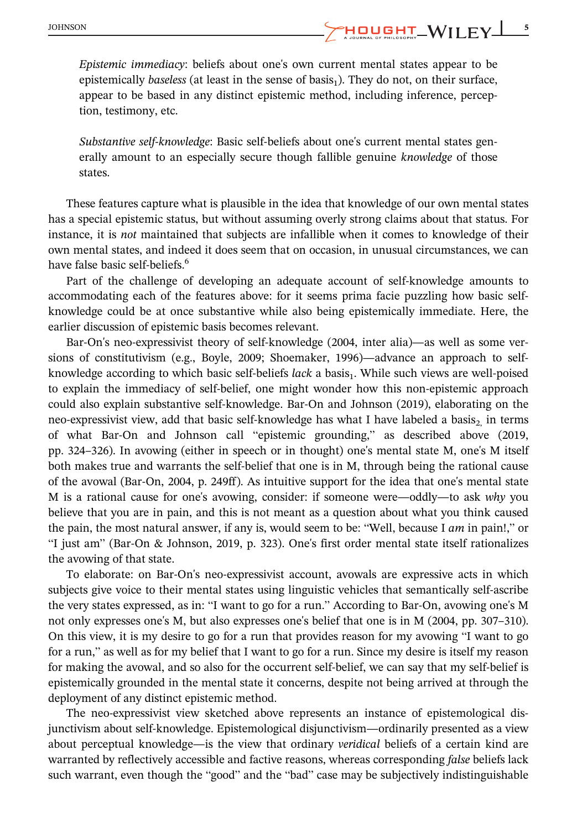Epistemic immediacy: beliefs about one's own current mental states appear to be epistemically baseless (at least in the sense of basis<sub>1</sub>). They do not, on their surface, appear to be based in any distinct epistemic method, including inference, perception, testimony, etc.

Substantive self-knowledge: Basic self-beliefs about one's current mental states generally amount to an especially secure though fallible genuine knowledge of those states.

These features capture what is plausible in the idea that knowledge of our own mental states has a special epistemic status, but without assuming overly strong claims about that status. For instance, it is not maintained that subjects are infallible when it comes to knowledge of their own mental states, and indeed it does seem that on occasion, in unusual circumstances, we can have false basic self-beliefs.<sup>6</sup>

Part of the challenge of developing an adequate account of self-knowledge amounts to accommodating each of the features above: for it seems prima facie puzzling how basic selfknowledge could be at once substantive while also being epistemically immediate. Here, the earlier discussion of epistemic basis becomes relevant.

Bar-On's neo-expressivist theory of self-knowledge (2004, inter alia)—as well as some versions of constitutivism (e.g., Boyle, 2009; Shoemaker, 1996)—advance an approach to selfknowledge according to which basic self-beliefs lack a basis<sub>1</sub>. While such views are well-poised to explain the immediacy of self-belief, one might wonder how this non-epistemic approach could also explain substantive self-knowledge. Bar-On and Johnson (2019), elaborating on the neo-expressivist view, add that basic self-knowledge has what I have labeled a basis<sub>2</sub> in terms of what Bar-On and Johnson call "epistemic grounding," as described above (2019, pp. 324–326). In avowing (either in speech or in thought) one's mental state M, one's M itself both makes true and warrants the self-belief that one is in M, through being the rational cause of the avowal (Bar-On, 2004, p. 249ff ). As intuitive support for the idea that one's mental state M is a rational cause for one's avowing, consider: if someone were—oddly—to ask why you believe that you are in pain, and this is not meant as a question about what you think caused the pain, the most natural answer, if any is, would seem to be: "Well, because I  $am$  in pain!," or "I just am" (Bar-On & Johnson, 2019, p. 323). One's first order mental state itself rationalizes the avowing of that state.

To elaborate: on Bar-On's neo-expressivist account, avowals are expressive acts in which subjects give voice to their mental states using linguistic vehicles that semantically self-ascribe the very states expressed, as in: "I want to go for a run." According to Bar-On, avowing one's M not only expresses one's M, but also expresses one's belief that one is in M (2004, pp. 307–310). On this view, it is my desire to go for a run that provides reason for my avowing "I want to go for a run," as well as for my belief that I want to go for a run. Since my desire is itself my reason for making the avowal, and so also for the occurrent self-belief, we can say that my self-belief is epistemically grounded in the mental state it concerns, despite not being arrived at through the deployment of any distinct epistemic method.

The neo-expressivist view sketched above represents an instance of epistemological disjunctivism about self-knowledge. Epistemological disjunctivism—ordinarily presented as a view about perceptual knowledge—is the view that ordinary veridical beliefs of a certain kind are warranted by reflectively accessible and factive reasons, whereas corresponding *false* beliefs lack such warrant, even though the "good" and the "bad" case may be subjectively indistinguishable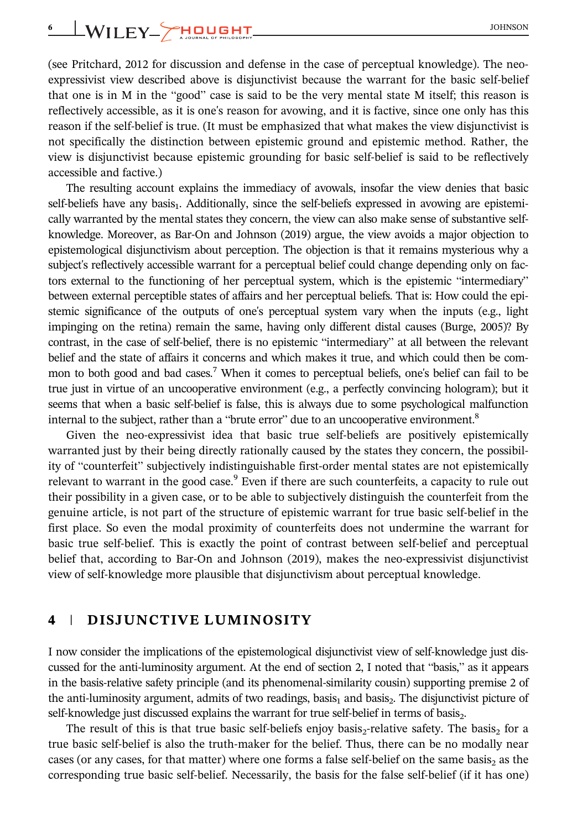## 6 WILEY HOUGHT SOHNSON

(see Pritchard, 2012 for discussion and defense in the case of perceptual knowledge). The neoexpressivist view described above is disjunctivist because the warrant for the basic self-belief that one is in M in the "good" case is said to be the very mental state M itself; this reason is reflectively accessible, as it is one's reason for avowing, and it is factive, since one only has this reason if the self-belief is true. (It must be emphasized that what makes the view disjunctivist is not specifically the distinction between epistemic ground and epistemic method. Rather, the view is disjunctivist because epistemic grounding for basic self-belief is said to be reflectively accessible and factive.)

The resulting account explains the immediacy of avowals, insofar the view denies that basic self-beliefs have any basis<sub>1</sub>. Additionally, since the self-beliefs expressed in avowing are epistemically warranted by the mental states they concern, the view can also make sense of substantive selfknowledge. Moreover, as Bar-On and Johnson (2019) argue, the view avoids a major objection to epistemological disjunctivism about perception. The objection is that it remains mysterious why a subject's reflectively accessible warrant for a perceptual belief could change depending only on factors external to the functioning of her perceptual system, which is the epistemic "intermediary" between external perceptible states of affairs and her perceptual beliefs. That is: How could the epistemic significance of the outputs of one's perceptual system vary when the inputs (e.g., light impinging on the retina) remain the same, having only different distal causes (Burge, 2005)? By contrast, in the case of self-belief, there is no epistemic "intermediary" at all between the relevant belief and the state of affairs it concerns and which makes it true, and which could then be common to both good and bad cases.<sup>7</sup> When it comes to perceptual beliefs, one's belief can fail to be true just in virtue of an uncooperative environment (e.g., a perfectly convincing hologram); but it seems that when a basic self-belief is false, this is always due to some psychological malfunction internal to the subject, rather than a "brute error" due to an uncooperative environment.<sup>8</sup>

Given the neo-expressivist idea that basic true self-beliefs are positively epistemically warranted just by their being directly rationally caused by the states they concern, the possibility of "counterfeit" subjectively indistinguishable first-order mental states are not epistemically relevant to warrant in the good case.<sup>9</sup> Even if there are such counterfeits, a capacity to rule out their possibility in a given case, or to be able to subjectively distinguish the counterfeit from the genuine article, is not part of the structure of epistemic warrant for true basic self-belief in the first place. So even the modal proximity of counterfeits does not undermine the warrant for basic true self-belief. This is exactly the point of contrast between self-belief and perceptual belief that, according to Bar-On and Johnson (2019), makes the neo-expressivist disjunctivist view of self-knowledge more plausible that disjunctivism about perceptual knowledge.

### 4 | DISJUNCTIVE LUMINOSITY

I now consider the implications of the epistemological disjunctivist view of self-knowledge just discussed for the anti-luminosity argument. At the end of section 2, I noted that "basis," as it appears in the basis-relative safety principle (and its phenomenal-similarity cousin) supporting premise 2 of the anti-luminosity argument, admits of two readings, basis, and basis. The disjunctivist picture of self-knowledge just discussed explains the warrant for true self-belief in terms of basis.

The result of this is that true basic self-beliefs enjoy basis $_2$ -relative safety. The basis $_2$  for a true basic self-belief is also the truth-maker for the belief. Thus, there can be no modally near cases (or any cases, for that matter) where one forms a false self-belief on the same basis, as the corresponding true basic self-belief. Necessarily, the basis for the false self-belief (if it has one)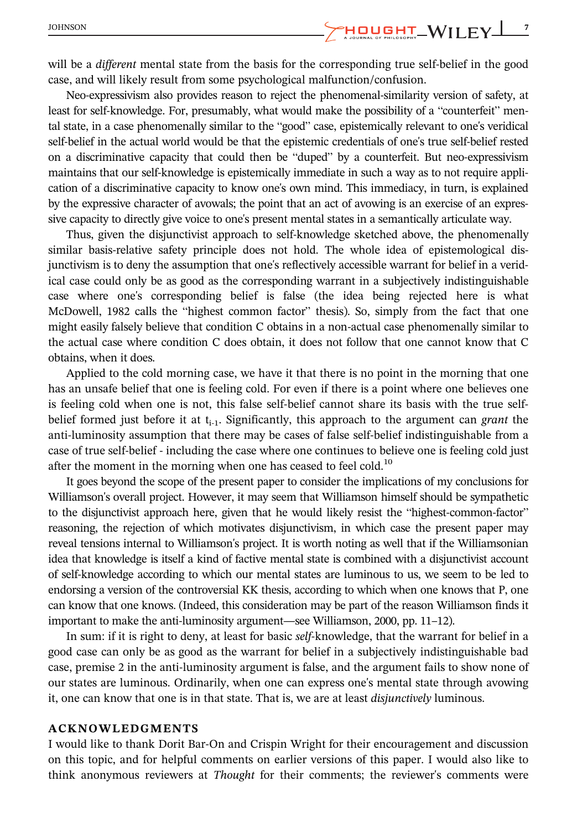JOHNSON 2001 2003 2003 2004 2004 2005 2004 2005 2006 2010 2011 2012 2013 2014 2015 2016 2017 2018 2019 2019 20

will be a different mental state from the basis for the corresponding true self-belief in the good case, and will likely result from some psychological malfunction/confusion.

Neo-expressivism also provides reason to reject the phenomenal-similarity version of safety, at least for self-knowledge. For, presumably, what would make the possibility of a "counterfeit" mental state, in a case phenomenally similar to the "good" case, epistemically relevant to one's veridical self-belief in the actual world would be that the epistemic credentials of one's true self-belief rested on a discriminative capacity that could then be "duped" by a counterfeit. But neo-expressivism maintains that our self-knowledge is epistemically immediate in such a way as to not require application of a discriminative capacity to know one's own mind. This immediacy, in turn, is explained by the expressive character of avowals; the point that an act of avowing is an exercise of an expressive capacity to directly give voice to one's present mental states in a semantically articulate way.

Thus, given the disjunctivist approach to self-knowledge sketched above, the phenomenally similar basis-relative safety principle does not hold. The whole idea of epistemological disjunctivism is to deny the assumption that one's reflectively accessible warrant for belief in a veridical case could only be as good as the corresponding warrant in a subjectively indistinguishable case where one's corresponding belief is false (the idea being rejected here is what McDowell, 1982 calls the "highest common factor" thesis). So, simply from the fact that one might easily falsely believe that condition C obtains in a non-actual case phenomenally similar to the actual case where condition C does obtain, it does not follow that one cannot know that C obtains, when it does.

Applied to the cold morning case, we have it that there is no point in the morning that one has an unsafe belief that one is feeling cold. For even if there is a point where one believes one is feeling cold when one is not, this false self-belief cannot share its basis with the true selfbelief formed just before it at  $t_{i-1}$ . Significantly, this approach to the argument can grant the anti-luminosity assumption that there may be cases of false self-belief indistinguishable from a case of true self-belief - including the case where one continues to believe one is feeling cold just after the moment in the morning when one has ceased to feel cold.<sup>10</sup>

It goes beyond the scope of the present paper to consider the implications of my conclusions for Williamson's overall project. However, it may seem that Williamson himself should be sympathetic to the disjunctivist approach here, given that he would likely resist the "highest-common-factor" reasoning, the rejection of which motivates disjunctivism, in which case the present paper may reveal tensions internal to Williamson's project. It is worth noting as well that if the Williamsonian idea that knowledge is itself a kind of factive mental state is combined with a disjunctivist account of self-knowledge according to which our mental states are luminous to us, we seem to be led to endorsing a version of the controversial KK thesis, according to which when one knows that P, one can know that one knows. (Indeed, this consideration may be part of the reason Williamson finds it important to make the anti-luminosity argument—see Williamson, 2000, pp. 11–12).

In sum: if it is right to deny, at least for basic self-knowledge, that the warrant for belief in a good case can only be as good as the warrant for belief in a subjectively indistinguishable bad case, premise 2 in the anti-luminosity argument is false, and the argument fails to show none of our states are luminous. Ordinarily, when one can express one's mental state through avowing it, one can know that one is in that state. That is, we are at least disjunctively luminous.

#### ACKNOWLEDGMENTS

I would like to thank Dorit Bar-On and Crispin Wright for their encouragement and discussion on this topic, and for helpful comments on earlier versions of this paper. I would also like to think anonymous reviewers at Thought for their comments; the reviewer's comments were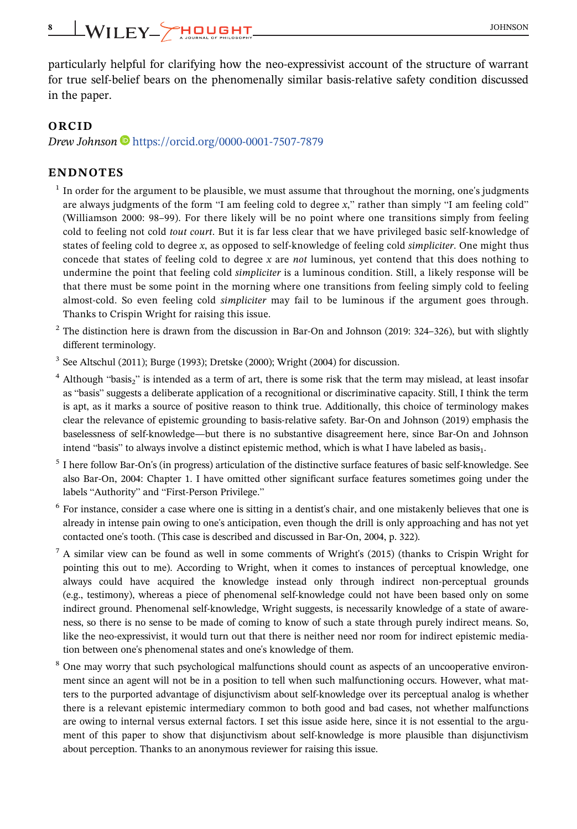# 8 | WILEY\_**CHOUGHT**

particularly helpful for clarifying how the neo-expressivist account of the structure of warrant for true self-belief bears on the phenomenally similar basis-relative safety condition discussed in the paper.

#### ORCID

Drew Johnson ● <https://orcid.org/0000-0001-7507-7879>

#### ENDNOTES

- $<sup>1</sup>$  In order for the argument to be plausible, we must assume that throughout the morning, one's judgments</sup> are always judgments of the form "I am feeling cold to degree x," rather than simply "I am feeling cold" (Williamson 2000: 98–99). For there likely will be no point where one transitions simply from feeling cold to feeling not cold tout court. But it is far less clear that we have privileged basic self-knowledge of states of feeling cold to degree x, as opposed to self-knowledge of feeling cold simpliciter. One might thus concede that states of feeling cold to degree x are not luminous, yet contend that this does nothing to undermine the point that feeling cold simpliciter is a luminous condition. Still, a likely response will be that there must be some point in the morning where one transitions from feeling simply cold to feeling almost-cold. So even feeling cold *simpliciter* may fail to be luminous if the argument goes through. Thanks to Crispin Wright for raising this issue.
- $2$  The distinction here is drawn from the discussion in Bar-On and Johnson (2019: 324–326), but with slightly different terminology.
- $3$  See Altschul (2011); Burge (1993); Dretske (2000); Wright (2004) for discussion.
- $4$  Although "basis" is intended as a term of art, there is some risk that the term may mislead, at least insofar as "basis" suggests a deliberate application of a recognitional or discriminative capacity. Still, I think the term is apt, as it marks a source of positive reason to think true. Additionally, this choice of terminology makes clear the relevance of epistemic grounding to basis-relative safety. Bar-On and Johnson (2019) emphasis the baselessness of self-knowledge—but there is no substantive disagreement here, since Bar-On and Johnson intend "basis" to always involve a distinct epistemic method, which is what I have labeled as basis<sub>1</sub>.
- <sup>5</sup> I here follow Bar-On's (in progress) articulation of the distinctive surface features of basic self-knowledge. See also Bar-On, 2004: Chapter 1. I have omitted other significant surface features sometimes going under the labels "Authority" and "First-Person Privilege."
- <sup>6</sup> For instance, consider a case where one is sitting in a dentist's chair, and one mistakenly believes that one is already in intense pain owing to one's anticipation, even though the drill is only approaching and has not yet contacted one's tooth. (This case is described and discussed in Bar-On, 2004, p. 322).
- <sup>7</sup> A similar view can be found as well in some comments of Wright's (2015) (thanks to Crispin Wright for pointing this out to me). According to Wright, when it comes to instances of perceptual knowledge, one always could have acquired the knowledge instead only through indirect non-perceptual grounds (e.g., testimony), whereas a piece of phenomenal self-knowledge could not have been based only on some indirect ground. Phenomenal self-knowledge, Wright suggests, is necessarily knowledge of a state of awareness, so there is no sense to be made of coming to know of such a state through purely indirect means. So, like the neo-expressivist, it would turn out that there is neither need nor room for indirect epistemic mediation between one's phenomenal states and one's knowledge of them.
- <sup>8</sup> One may worry that such psychological malfunctions should count as aspects of an uncooperative environment since an agent will not be in a position to tell when such malfunctioning occurs. However, what matters to the purported advantage of disjunctivism about self-knowledge over its perceptual analog is whether there is a relevant epistemic intermediary common to both good and bad cases, not whether malfunctions are owing to internal versus external factors. I set this issue aside here, since it is not essential to the argument of this paper to show that disjunctivism about self-knowledge is more plausible than disjunctivism about perception. Thanks to an anonymous reviewer for raising this issue.